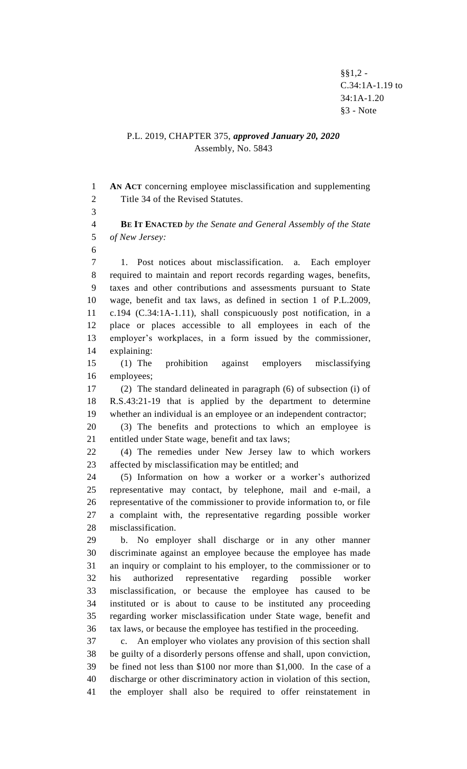$§$ §1,2 -C.34:1A-1.19 to 34:1A-1.20 §3 - Note

## P.L. 2019, CHAPTER 375, *approved January 20, 2020* Assembly, No. 5843

 **AN ACT** concerning employee misclassification and supplementing Title 34 of the Revised Statutes.

 **BE IT ENACTED** *by the Senate and General Assembly of the State of New Jersey:*

 1. Post notices about misclassification. a. Each employer required to maintain and report records regarding wages, benefits, taxes and other contributions and assessments pursuant to State wage, benefit and tax laws, as defined in section 1 of P.L.2009, c.194 (C.34:1A-1.11), shall conspicuously post notification, in a place or places accessible to all employees in each of the employer's workplaces, in a form issued by the commissioner, explaining:

 (1) The prohibition against employers misclassifying employees;

 (2) The standard delineated in paragraph (6) of subsection (i) of R.S.43:21-19 that is applied by the department to determine whether an individual is an employee or an independent contractor;

 (3) The benefits and protections to which an employee is entitled under State wage, benefit and tax laws;

 (4) The remedies under New Jersey law to which workers affected by misclassification may be entitled; and

 (5) Information on how a worker or a worker's authorized representative may contact, by telephone, mail and e-mail, a representative of the commissioner to provide information to, or file a complaint with, the representative regarding possible worker misclassification.

 b. No employer shall discharge or in any other manner discriminate against an employee because the employee has made an inquiry or complaint to his employer, to the commissioner or to his authorized representative regarding possible worker misclassification, or because the employee has caused to be instituted or is about to cause to be instituted any proceeding regarding worker misclassification under State wage, benefit and tax laws, or because the employee has testified in the proceeding.

 c. An employer who violates any provision of this section shall be guilty of a disorderly persons offense and shall, upon conviction, be fined not less than \$100 nor more than \$1,000. In the case of a discharge or other discriminatory action in violation of this section, the employer shall also be required to offer reinstatement in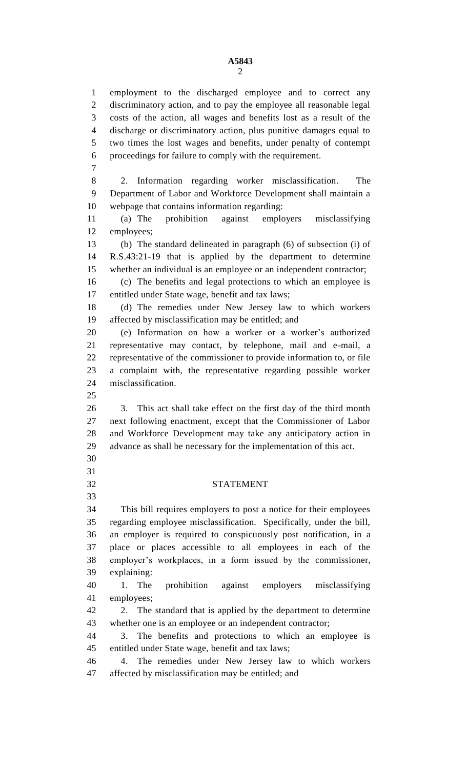employment to the discharged employee and to correct any discriminatory action, and to pay the employee all reasonable legal costs of the action, all wages and benefits lost as a result of the discharge or discriminatory action, plus punitive damages equal to two times the lost wages and benefits, under penalty of contempt proceedings for failure to comply with the requirement. 2. Information regarding worker misclassification. The Department of Labor and Workforce Development shall maintain a webpage that contains information regarding: (a) The prohibition against employers misclassifying employees; (b) The standard delineated in paragraph (6) of subsection (i) of R.S.43:21-19 that is applied by the department to determine whether an individual is an employee or an independent contractor; (c) The benefits and legal protections to which an employee is entitled under State wage, benefit and tax laws; (d) The remedies under New Jersey law to which workers affected by misclassification may be entitled; and (e) Information on how a worker or a worker's authorized representative may contact, by telephone, mail and e-mail, a representative of the commissioner to provide information to, or file a complaint with, the representative regarding possible worker misclassification. 3. This act shall take effect on the first day of the third month next following enactment, except that the Commissioner of Labor and Workforce Development may take any anticipatory action in advance as shall be necessary for the implementation of this act. STATEMENT This bill requires employers to post a notice for their employees regarding employee misclassification. Specifically, under the bill, an employer is required to conspicuously post notification, in a place or places accessible to all employees in each of the employer's workplaces, in a form issued by the commissioner, explaining: 1. The prohibition against employers misclassifying employees; 2. The standard that is applied by the department to determine whether one is an employee or an independent contractor; 3. The benefits and protections to which an employee is entitled under State wage, benefit and tax laws; 4. The remedies under New Jersey law to which workers affected by misclassification may be entitled; and